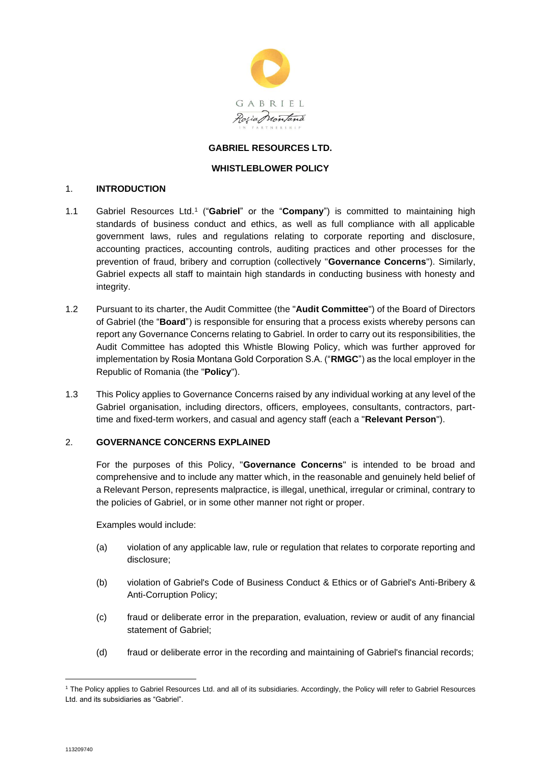

### **GABRIEL RESOURCES LTD.**

#### **WHISTLEBLOWER POLICY**

#### 1. **INTRODUCTION**

- 1.1 Gabriel Resources Ltd.<sup>1</sup> ("**Gabriel**" or the "**Company**") is committed to maintaining high standards of business conduct and ethics, as well as full compliance with all applicable government laws, rules and regulations relating to corporate reporting and disclosure, accounting practices, accounting controls, auditing practices and other processes for the prevention of fraud, bribery and corruption (collectively "**Governance Concerns**"). Similarly, Gabriel expects all staff to maintain high standards in conducting business with honesty and integrity.
- 1.2 Pursuant to its charter, the Audit Committee (the "**Audit Committee**") of the Board of Directors of Gabriel (the "**Board**") is responsible for ensuring that a process exists whereby persons can report any Governance Concerns relating to Gabriel. In order to carry out its responsibilities, the Audit Committee has adopted this Whistle Blowing Policy, which was further approved for implementation by Rosia Montana Gold Corporation S.A. ("**RMGC**") as the local employer in the Republic of Romania (the "**Policy**").
- 1.3 This Policy applies to Governance Concerns raised by any individual working at any level of the Gabriel organisation, including directors, officers, employees, consultants, contractors, parttime and fixed-term workers, and casual and agency staff (each a "**Relevant Person**").

#### 2. **GOVERNANCE CONCERNS EXPLAINED**

For the purposes of this Policy, "**Governance Concerns**" is intended to be broad and comprehensive and to include any matter which, in the reasonable and genuinely held belief of a Relevant Person, represents malpractice, is illegal, unethical, irregular or criminal, contrary to the policies of Gabriel, or in some other manner not right or proper.

Examples would include:

- (a) violation of any applicable law, rule or regulation that relates to corporate reporting and disclosure;
- (b) violation of Gabriel's Code of Business Conduct & Ethics or of Gabriel's Anti-Bribery & Anti-Corruption Policy;
- (c) fraud or deliberate error in the preparation, evaluation, review or audit of any financial statement of Gabriel;
- (d) fraud or deliberate error in the recording and maintaining of Gabriel's financial records;

<sup>1</sup> The Policy applies to Gabriel Resources Ltd. and all of its subsidiaries. Accordingly, the Policy will refer to Gabriel Resources Ltd. and its subsidiaries as "Gabriel".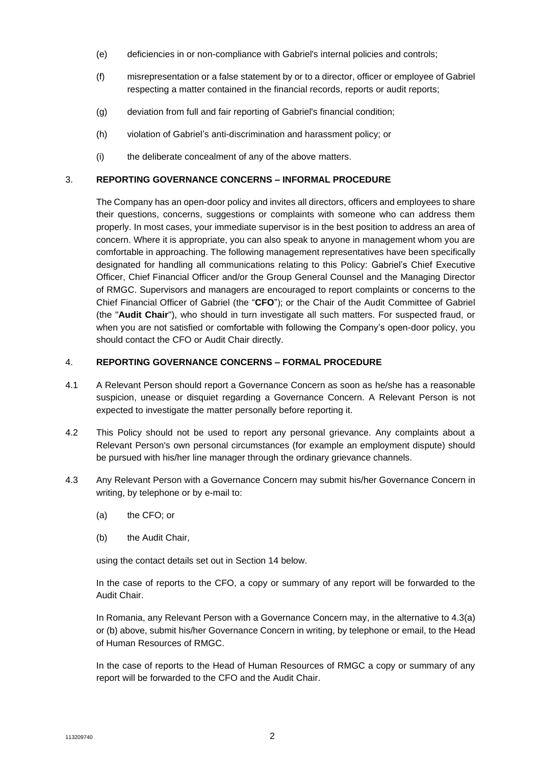- (e) deficiencies in or non-compliance with Gabriel's internal policies and controls;
- (f) misrepresentation or a false statement by or to a director, officer or employee of Gabriel respecting a matter contained in the financial records, reports or audit reports;
- (g) deviation from full and fair reporting of Gabriel's financial condition;
- (h) violation of Gabriel's anti-discrimination and harassment policy; or
- (i) the deliberate concealment of any of the above matters.

## 3. **REPORTING GOVERNANCE CONCERNS – INFORMAL PROCEDURE**

The Company has an open-door policy and invites all directors, officers and employees to share their questions, concerns, suggestions or complaints with someone who can address them properly. In most cases, your immediate supervisor is in the best position to address an area of concern. Where it is appropriate, you can also speak to anyone in management whom you are comfortable in approaching. The following management representatives have been specifically designated for handling all communications relating to this Policy: Gabriel's Chief Executive Officer, Chief Financial Officer and/or the Group General Counsel and the Managing Director of RMGC. Supervisors and managers are encouraged to report complaints or concerns to the Chief Financial Officer of Gabriel (the "**CFO**"); or the Chair of the Audit Committee of Gabriel (the "**Audit Chair**"), who should in turn investigate all such matters. For suspected fraud, or when you are not satisfied or comfortable with following the Company's open-door policy, you should contact the CFO or Audit Chair directly.

# 4. **REPORTING GOVERNANCE CONCERNS – FORMAL PROCEDURE**

- 4.1 A Relevant Person should report a Governance Concern as soon as he/she has a reasonable suspicion, unease or disquiet regarding a Governance Concern. A Relevant Person is not expected to investigate the matter personally before reporting it.
- 4.2 This Policy should not be used to report any personal grievance. Any complaints about a Relevant Person's own personal circumstances (for example an employment dispute) should be pursued with his/her line manager through the ordinary grievance channels.
- <span id="page-1-0"></span>4.3 Any Relevant Person with a Governance Concern may submit his/her Governance Concern in writing, by telephone or by e-mail to:
	- (a) the CFO; or
	- (b) the Audit Chair,

using the contact details set out in Section [14](#page-4-0) below.

In the case of reports to the CFO, a copy or summary of any report will be forwarded to the Audit Chair.

In Romania, any Relevant Person with a Governance Concern may, in the alternative to [4.3\(](#page-1-0)a) or (b) above, submit his/her Governance Concern in writing, by telephone or email, to the Head of Human Resources of RMGC.

In the case of reports to the Head of Human Resources of RMGC a copy or summary of any report will be forwarded to the CFO and the Audit Chair.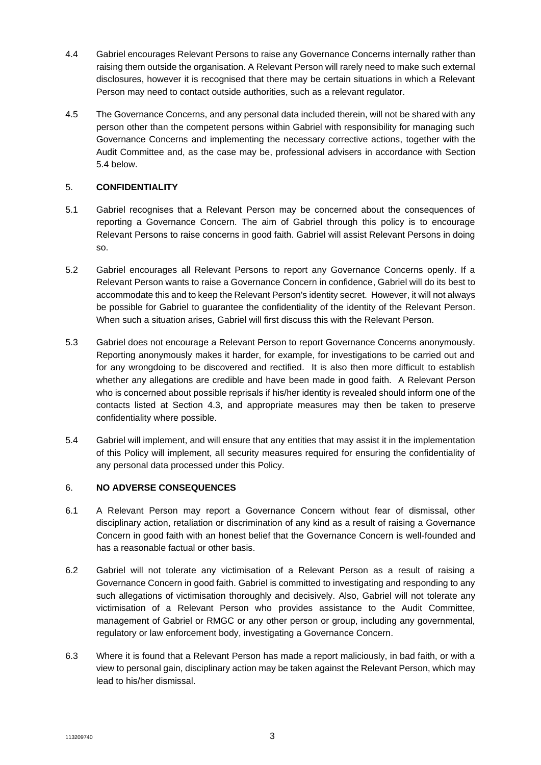- 4.4 Gabriel encourages Relevant Persons to raise any Governance Concerns internally rather than raising them outside the organisation. A Relevant Person will rarely need to make such external disclosures, however it is recognised that there may be certain situations in which a Relevant Person may need to contact outside authorities, such as a relevant regulator.
- 4.5 The Governance Concerns, and any personal data included therein, will not be shared with any person other than the competent persons within Gabriel with responsibility for managing such Governance Concerns and implementing the necessary corrective actions, together with the Audit Committee and, as the case may be, professional advisers in accordance with Section [5.4](#page-2-0) below.

# 5. **CONFIDENTIALITY**

- 5.1 Gabriel recognises that a Relevant Person may be concerned about the consequences of reporting a Governance Concern. The aim of Gabriel through this policy is to encourage Relevant Persons to raise concerns in good faith. Gabriel will assist Relevant Persons in doing so.
- 5.2 Gabriel encourages all Relevant Persons to report any Governance Concerns openly. If a Relevant Person wants to raise a Governance Concern in confidence, Gabriel will do its best to accommodate this and to keep the Relevant Person's identity secret. However, it will not always be possible for Gabriel to guarantee the confidentiality of the identity of the Relevant Person. When such a situation arises, Gabriel will first discuss this with the Relevant Person.
- 5.3 Gabriel does not encourage a Relevant Person to report Governance Concerns anonymously. Reporting anonymously makes it harder, for example, for investigations to be carried out and for any wrongdoing to be discovered and rectified. It is also then more difficult to establish whether any allegations are credible and have been made in good faith. A Relevant Person who is concerned about possible reprisals if his/her identity is revealed should inform one of the contacts listed at Section [4.3,](#page-1-0) and appropriate measures may then be taken to preserve confidentiality where possible.
- <span id="page-2-0"></span>5.4 Gabriel will implement, and will ensure that any entities that may assist it in the implementation of this Policy will implement, all security measures required for ensuring the confidentiality of any personal data processed under this Policy.

# 6. **NO ADVERSE CONSEQUENCES**

- 6.1 A Relevant Person may report a Governance Concern without fear of dismissal, other disciplinary action, retaliation or discrimination of any kind as a result of raising a Governance Concern in good faith with an honest belief that the Governance Concern is well-founded and has a reasonable factual or other basis.
- 6.2 Gabriel will not tolerate any victimisation of a Relevant Person as a result of raising a Governance Concern in good faith. Gabriel is committed to investigating and responding to any such allegations of victimisation thoroughly and decisively. Also, Gabriel will not tolerate any victimisation of a Relevant Person who provides assistance to the Audit Committee, management of Gabriel or RMGC or any other person or group, including any governmental, regulatory or law enforcement body, investigating a Governance Concern.
- 6.3 Where it is found that a Relevant Person has made a report maliciously, in bad faith, or with a view to personal gain, disciplinary action may be taken against the Relevant Person, which may lead to his/her dismissal.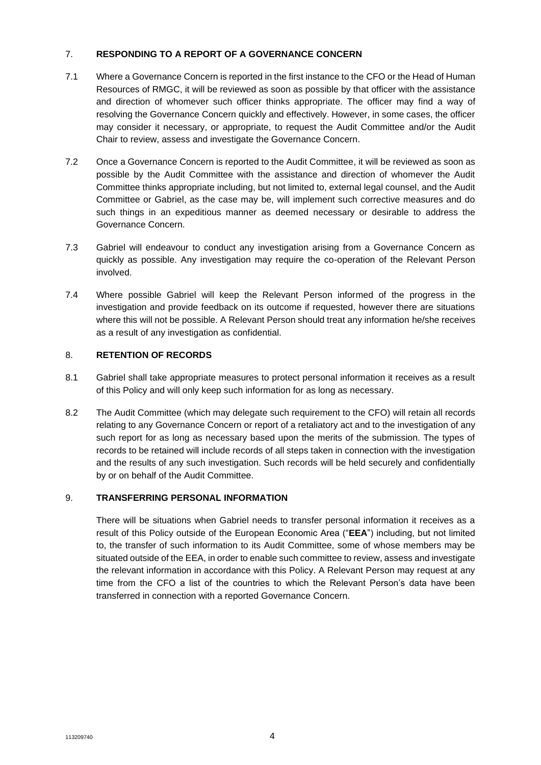## 7. **RESPONDING TO A REPORT OF A GOVERNANCE CONCERN**

- 7.1 Where a Governance Concern is reported in the first instance to the CFO or the Head of Human Resources of RMGC, it will be reviewed as soon as possible by that officer with the assistance and direction of whomever such officer thinks appropriate. The officer may find a way of resolving the Governance Concern quickly and effectively. However, in some cases, the officer may consider it necessary, or appropriate, to request the Audit Committee and/or the Audit Chair to review, assess and investigate the Governance Concern.
- 7.2 Once a Governance Concern is reported to the Audit Committee, it will be reviewed as soon as possible by the Audit Committee with the assistance and direction of whomever the Audit Committee thinks appropriate including, but not limited to, external legal counsel, and the Audit Committee or Gabriel, as the case may be, will implement such corrective measures and do such things in an expeditious manner as deemed necessary or desirable to address the Governance Concern.
- 7.3 Gabriel will endeavour to conduct any investigation arising from a Governance Concern as quickly as possible. Any investigation may require the co-operation of the Relevant Person involved.
- 7.4 Where possible Gabriel will keep the Relevant Person informed of the progress in the investigation and provide feedback on its outcome if requested, however there are situations where this will not be possible. A Relevant Person should treat any information he/she receives as a result of any investigation as confidential.

# 8. **RETENTION OF RECORDS**

- 8.1 Gabriel shall take appropriate measures to protect personal information it receives as a result of this Policy and will only keep such information for as long as necessary.
- 8.2 The Audit Committee (which may delegate such requirement to the CFO) will retain all records relating to any Governance Concern or report of a retaliatory act and to the investigation of any such report for as long as necessary based upon the merits of the submission. The types of records to be retained will include records of all steps taken in connection with the investigation and the results of any such investigation. Such records will be held securely and confidentially by or on behalf of the Audit Committee.

## 9. **TRANSFERRING PERSONAL INFORMATION**

There will be situations when Gabriel needs to transfer personal information it receives as a result of this Policy outside of the European Economic Area ("**EEA**") including, but not limited to, the transfer of such information to its Audit Committee, some of whose members may be situated outside of the EEA, in order to enable such committee to review, assess and investigate the relevant information in accordance with this Policy. A Relevant Person may request at any time from the CFO a list of the countries to which the Relevant Person's data have been transferred in connection with a reported Governance Concern.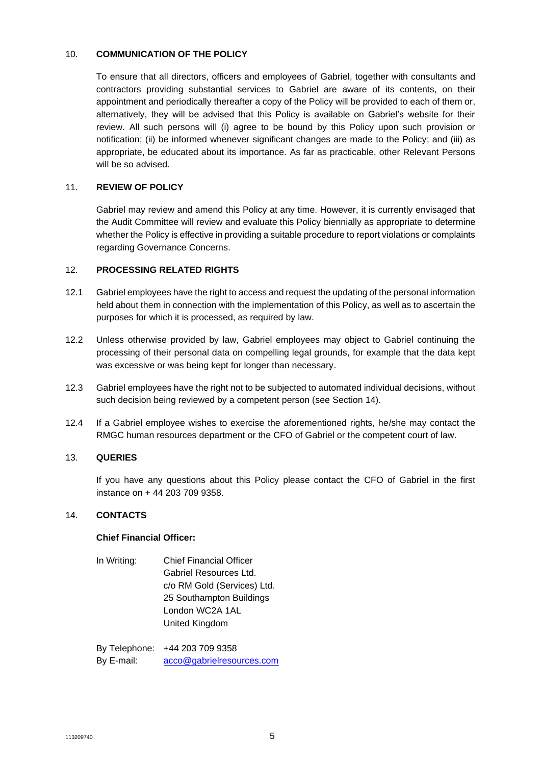### 10. **COMMUNICATION OF THE POLICY**

To ensure that all directors, officers and employees of Gabriel, together with consultants and contractors providing substantial services to Gabriel are aware of its contents, on their appointment and periodically thereafter a copy of the Policy will be provided to each of them or, alternatively, they will be advised that this Policy is available on Gabriel's website for their review. All such persons will (i) agree to be bound by this Policy upon such provision or notification; (ii) be informed whenever significant changes are made to the Policy; and (iii) as appropriate, be educated about its importance. As far as practicable, other Relevant Persons will be so advised.

### 11. **REVIEW OF POLICY**

Gabriel may review and amend this Policy at any time. However, it is currently envisaged that the Audit Committee will review and evaluate this Policy biennially as appropriate to determine whether the Policy is effective in providing a suitable procedure to report violations or complaints regarding Governance Concerns.

### 12. **PROCESSING RELATED RIGHTS**

- 12.1 Gabriel employees have the right to access and request the updating of the personal information held about them in connection with the implementation of this Policy, as well as to ascertain the purposes for which it is processed, as required by law.
- 12.2 Unless otherwise provided by law, Gabriel employees may object to Gabriel continuing the processing of their personal data on compelling legal grounds, for example that the data kept was excessive or was being kept for longer than necessary.
- 12.3 Gabriel employees have the right not to be subjected to automated individual decisions, without such decision being reviewed by a competent person (see Section [14\)](#page-4-0).
- 12.4 If a Gabriel employee wishes to exercise the aforementioned rights, he/she may contact the RMGC human resources department or the CFO of Gabriel or the competent court of law.

### 13. **QUERIES**

If you have any questions about this Policy please contact the CFO of Gabriel in the first instance on + 44 203 709 9358.

#### <span id="page-4-0"></span>14. **CONTACTS**

#### **Chief Financial Officer:**

In Writing: Chief Financial Officer Gabriel Resources Ltd. c/o RM Gold (Services) Ltd. 25 Southampton Buildings London WC2A 1AL United Kingdom

By Telephone: +44 203 709 9358 By E-mail: [acco@gabrielresources.com](mailto:acco@gabrielresources.com)